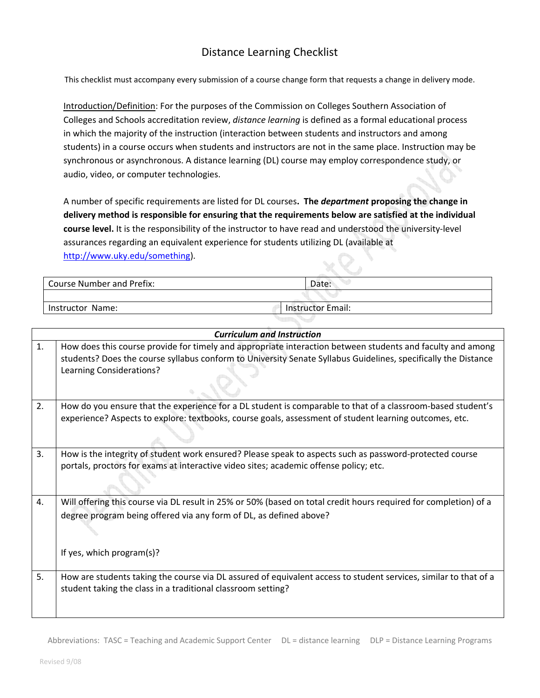## Distance Learning Checklist

This checklist must accompany every submission of a course change form that requests a change in delivery mode.

Introduction/Definition: For the purposes of the Commission on Colleges Southern Association of Colleges and Schools accreditation review, *distance learning* is defined as a formal educational process in which the majority of the instruction (interaction between students and instructors and among students) in a course occurs when students and instructors are not in the same place. Instruction may be synchronous or asynchronous. A distance learning (DL) course may employ correspondence study, or audio, video, or computer technologies.

A number of specific requirements are listed for DL courses**. The** *department* **proposing the change in delivery method is responsible for ensuring that the requirements below are satisfied at the individual course level.** It is the responsibility of the instructor to have read and understood the university‐level assurances regarding an equivalent experience for students utilizing DL (available at http://www.uky.edu/something).

| Course Number and Prefix: | Date:                    |  |
|---------------------------|--------------------------|--|
|                           |                          |  |
| Instructor Name:          | <b>Instructor Email:</b> |  |

| <b>Curriculum and Instruction</b> |                                                                                                                                                                                                                                                          |  |  |
|-----------------------------------|----------------------------------------------------------------------------------------------------------------------------------------------------------------------------------------------------------------------------------------------------------|--|--|
| 1.                                | How does this course provide for timely and appropriate interaction between students and faculty and among<br>students? Does the course syllabus conform to University Senate Syllabus Guidelines, specifically the Distance<br>Learning Considerations? |  |  |
| 2.                                | How do you ensure that the experience for a DL student is comparable to that of a classroom-based student's<br>experience? Aspects to explore: textbooks, course goals, assessment of student learning outcomes, etc.                                    |  |  |
| 3.                                | How is the integrity of student work ensured? Please speak to aspects such as password-protected course<br>portals, proctors for exams at interactive video sites; academic offense policy; etc.                                                         |  |  |
| 4.                                | Will offering this course via DL result in 25% or 50% (based on total credit hours required for completion) of a<br>degree program being offered via any form of DL, as defined above?<br>If yes, which program(s)?                                      |  |  |
| 5.                                | How are students taking the course via DL assured of equivalent access to student services, similar to that of a<br>student taking the class in a traditional classroom setting?                                                                         |  |  |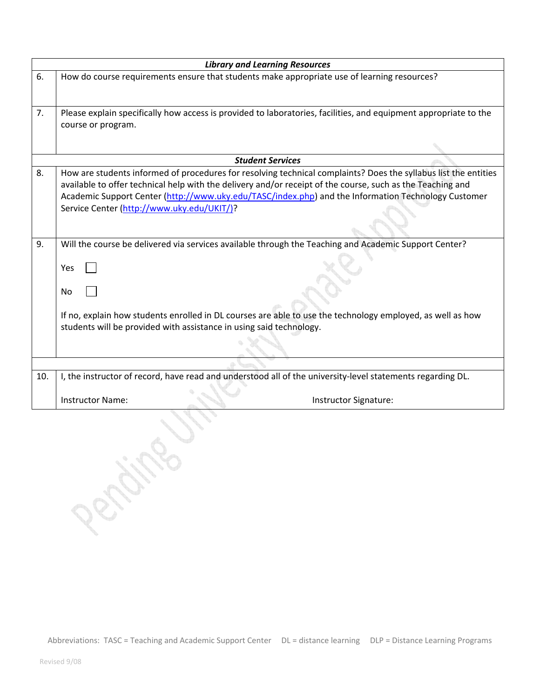| <b>Library and Learning Resources</b> |                                                                                                                                                                                                                                                                                                                                                                                    |  |
|---------------------------------------|------------------------------------------------------------------------------------------------------------------------------------------------------------------------------------------------------------------------------------------------------------------------------------------------------------------------------------------------------------------------------------|--|
| 6.                                    | How do course requirements ensure that students make appropriate use of learning resources?                                                                                                                                                                                                                                                                                        |  |
| 7.                                    | Please explain specifically how access is provided to laboratories, facilities, and equipment appropriate to the<br>course or program.                                                                                                                                                                                                                                             |  |
|                                       | <b>Student Services</b>                                                                                                                                                                                                                                                                                                                                                            |  |
| 8.                                    | How are students informed of procedures for resolving technical complaints? Does the syllabus list the entities<br>available to offer technical help with the delivery and/or receipt of the course, such as the Teaching and<br>Academic Support Center (http://www.uky.edu/TASC/index.php) and the Information Technology Customer<br>Service Center (http://www.uky.edu/UKIT/)? |  |
| 9.                                    | Will the course be delivered via services available through the Teaching and Academic Support Center?<br>Yes<br>No<br>If no, explain how students enrolled in DL courses are able to use the technology employed, as well as how<br>students will be provided with assistance in using said technology.                                                                            |  |
|                                       |                                                                                                                                                                                                                                                                                                                                                                                    |  |
| 10.                                   | I, the instructor of record, have read and understood all of the university-level statements regarding DL.                                                                                                                                                                                                                                                                         |  |
|                                       | Instructor Signature:<br>Instructor Name:                                                                                                                                                                                                                                                                                                                                          |  |
|                                       | PENSITO                                                                                                                                                                                                                                                                                                                                                                            |  |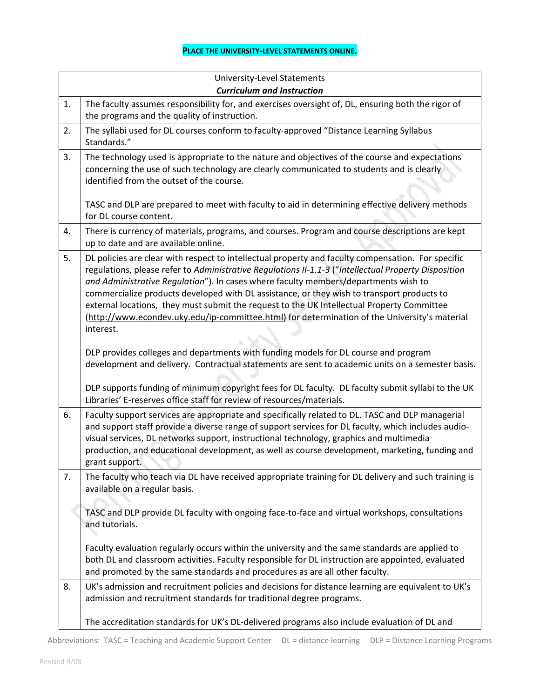## **PLACE THE UNIVERSITY‐LEVEL STATEMENTS ONLINE.**

|                                   | <b>University-Level Statements</b>                                                                                                                                                                                                                                                                                                                                                                                                                                                                                                                                                                                                                                                                 |  |  |  |
|-----------------------------------|----------------------------------------------------------------------------------------------------------------------------------------------------------------------------------------------------------------------------------------------------------------------------------------------------------------------------------------------------------------------------------------------------------------------------------------------------------------------------------------------------------------------------------------------------------------------------------------------------------------------------------------------------------------------------------------------------|--|--|--|
| <b>Curriculum and Instruction</b> |                                                                                                                                                                                                                                                                                                                                                                                                                                                                                                                                                                                                                                                                                                    |  |  |  |
| 1.                                | The faculty assumes responsibility for, and exercises oversight of, DL, ensuring both the rigor of<br>the programs and the quality of instruction.                                                                                                                                                                                                                                                                                                                                                                                                                                                                                                                                                 |  |  |  |
| 2.                                | The syllabi used for DL courses conform to faculty-approved "Distance Learning Syllabus<br>Standards."                                                                                                                                                                                                                                                                                                                                                                                                                                                                                                                                                                                             |  |  |  |
| 3.                                | The technology used is appropriate to the nature and objectives of the course and expectations<br>concerning the use of such technology are clearly communicated to students and is clearly<br>identified from the outset of the course.                                                                                                                                                                                                                                                                                                                                                                                                                                                           |  |  |  |
|                                   | TASC and DLP are prepared to meet with faculty to aid in determining effective delivery methods<br>for DL course content.                                                                                                                                                                                                                                                                                                                                                                                                                                                                                                                                                                          |  |  |  |
| 4.                                | There is currency of materials, programs, and courses. Program and course descriptions are kept<br>up to date and are available online.                                                                                                                                                                                                                                                                                                                                                                                                                                                                                                                                                            |  |  |  |
| 5.                                | DL policies are clear with respect to intellectual property and faculty compensation. For specific<br>regulations, please refer to Administrative Regulations II-1.1-3 ("Intellectual Property Disposition<br>and Administrative Regulation"). In cases where faculty members/departments wish to<br>commercialize products developed with DL assistance, or they wish to transport products to<br>external locations, they must submit the request to the UK Intellectual Property Committee<br>(http://www.econdev.uky.edu/ip-committee.html) for determination of the University's material<br>interest.<br>DLP provides colleges and departments with funding models for DL course and program |  |  |  |
|                                   | development and delivery. Contractual statements are sent to academic units on a semester basis.<br>DLP supports funding of minimum copyright fees for DL faculty. DL faculty submit syllabi to the UK<br>Libraries' E-reserves office staff for review of resources/materials.                                                                                                                                                                                                                                                                                                                                                                                                                    |  |  |  |
| 6.                                | Faculty support services are appropriate and specifically related to DL. TASC and DLP managerial<br>and support staff provide a diverse range of support services for DL faculty, which includes audio-<br>visual services, DL networks support, instructional technology, graphics and multimedia<br>production, and educational development, as well as course development, marketing, funding and<br>grant support.                                                                                                                                                                                                                                                                             |  |  |  |
| 7.                                | The faculty who teach via DL have received appropriate training for DL delivery and such training is<br>available on a regular basis.                                                                                                                                                                                                                                                                                                                                                                                                                                                                                                                                                              |  |  |  |
|                                   | TASC and DLP provide DL faculty with ongoing face-to-face and virtual workshops, consultations<br>and tutorials.<br>Faculty evaluation regularly occurs within the university and the same standards are applied to<br>both DL and classroom activities. Faculty responsible for DL instruction are appointed, evaluated<br>and promoted by the same standards and procedures as are all other faculty.                                                                                                                                                                                                                                                                                            |  |  |  |
| 8.                                | UK's admission and recruitment policies and decisions for distance learning are equivalent to UK's<br>admission and recruitment standards for traditional degree programs.                                                                                                                                                                                                                                                                                                                                                                                                                                                                                                                         |  |  |  |
|                                   | The accreditation standards for UK's DL-delivered programs also include evaluation of DL and                                                                                                                                                                                                                                                                                                                                                                                                                                                                                                                                                                                                       |  |  |  |